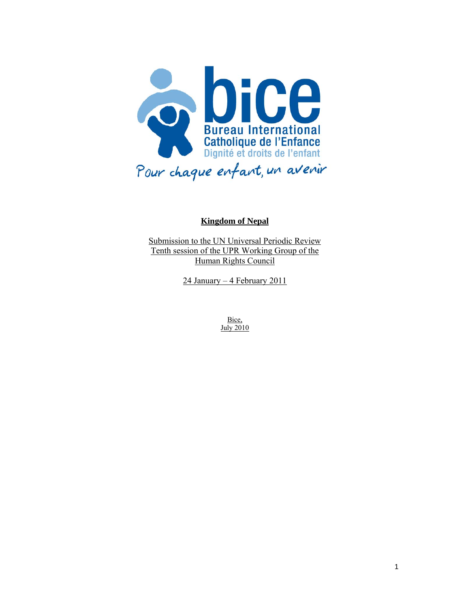

#### **Kingdom of Nepal**

Submission to the UN Universal Periodic Review Tenth session of the UPR Working Group of the Human Rights Council

24 January – 4 February 2011

Bice, July 2010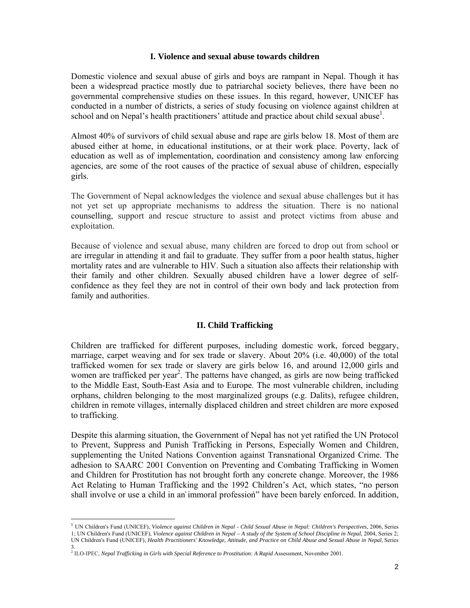#### **I. Violence and sexual abuse towards children**

Domestic violence and sexual abuse of girls and boys are rampant in Nepal. Though it has been a widespread practice mostly due to patriarchal society believes, there have been no governmental comprehensive studies on these issues. In this regard, however, UNICEF has conducted in a number of districts, a series of study focusing on violence against children at school and on Nepal's health practitioners' attitude and practice about child sexual abuse<sup>1</sup>.

Almost 40% of survivors of child sexual abuse and rape are girls below 18. Most of them are abused either at home, in educational institutions, or at their work place. Poverty, lack of education as well as of implementation, coordination and consistency among law enforcing agencies, are some of the root causes of the practice of sexual abuse of children, especially girls.

The Government of Nepal acknowledges the violence and sexual abuse challenges but it has not yet set up appropriate mechanisms to address the situation. There is no national counselling, support and rescue structure to assist and protect victims from abuse and exploitation.

Because of violence and sexual abuse, many children are forced to drop out from school or are irregular in attending it and fail to graduate. They suffer from a poor health status, higher mortality rates and are vulnerable to HIV. Such a situation also affects their relationship with their family and other children. Sexually abused children have a lower degree of selfconfidence as they feel they are not in control of their own body and lack protection from family and authorities.

## **II. Child Trafficking**

Children are trafficked for different purposes, including domestic work, forced beggary, marriage, carpet weaving and for sex trade or slavery. About 20% (i.e. 40,000) of the total trafficked women for sex trade or slavery are girls below 16, and around 12,000 girls and women are trafficked per year<sup>2</sup>. The patterns have changed, as girls are now being trafficked to the Middle East, South-East Asia and to Europe. The most vulnerable children, including orphans, children belonging to the most marginalized groups (e.g. Dalits), refugee children, children in remote villages, internally displaced children and street children are more exposed to trafficking.

Despite this alarming situation, the Government of Nepal has not yet ratified the UN Protocol to Prevent, Suppress and Punish Trafficking in Persons, Especially Women and Children, supplementing the United Nations Convention against Transnational Organized Crime. The adhesion to SAARC 2001 Convention on Preventing and Combating Trafficking in Women and Children for Prostitution has not brought forth any concrete change. Moreover, the 1986 Act Relating to Human Trafficking and the 1992 Children's Act, which states, "no person shall involve or use a child in an'immoral profession'' have been barely enforced. In addition,

<sup>1</sup> UN Children's Fund (UNICEF), *Violence against Children in Nepal - Child Sexual Abuse in Nepal: Children's Perspectives*, 2006, Series 1; UN Children's Fund (UNICEF), *Violence against Children in Nepal – A study of the System of School Discipline in Nepal*, 2004, Series 2; UN Children's Fund (UNICEF), *Health Practitioners' Knowledge, Attitude, and Practice on Child Abuse and Sexual Abuse in Nepal*, Series

<sup>3.&</sup>lt;br><sup>2</sup> ILO-IPEC, *Nepal Trafficking in Girls with Special Reference to Prostitution: A Rapid Assessment, November 2001.*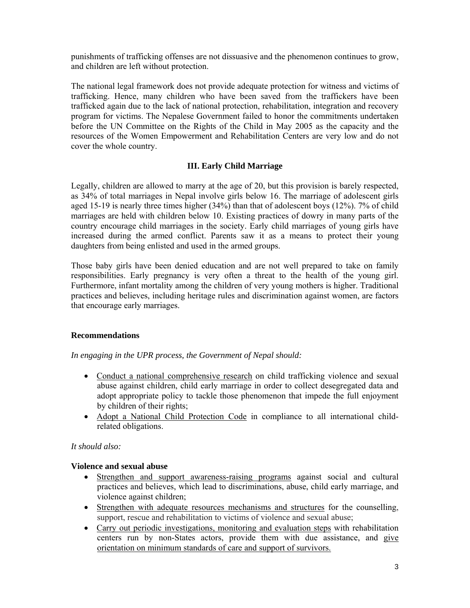punishments of trafficking offenses are not dissuasive and the phenomenon continues to grow, and children are left without protection.

The national legal framework does not provide adequate protection for witness and victims of trafficking. Hence, many children who have been saved from the traffickers have been trafficked again due to the lack of national protection, rehabilitation, integration and recovery program for victims. The Nepalese Government failed to honor the commitments undertaken before the UN Committee on the Rights of the Child in May 2005 as the capacity and the resources of the Women Empowerment and Rehabilitation Centers are very low and do not cover the whole country.

# **III. Early Child Marriage**

Legally, children are allowed to marry at the age of 20, but this provision is barely respected, as 34% of total marriages in Nepal involve girls below 16. The marriage of adolescent girls aged 15-19 is nearly three times higher (34%) than that of adolescent boys (12%). 7% of child marriages are held with children below 10. Existing practices of dowry in many parts of the country encourage child marriages in the society. Early child marriages of young girls have increased during the armed conflict. Parents saw it as a means to protect their young daughters from being enlisted and used in the armed groups.

Those baby girls have been denied education and are not well prepared to take on family responsibilities. Early pregnancy is very often a threat to the health of the young girl. Furthermore, infant mortality among the children of very young mothers is higher. Traditional practices and believes, including heritage rules and discrimination against women, are factors that encourage early marriages.

## **Recommendations**

## *In engaging in the UPR process, the Government of Nepal should:*

- Conduct a national comprehensive research on child trafficking violence and sexual abuse against children, child early marriage in order to collect desegregated data and adopt appropriate policy to tackle those phenomenon that impede the full enjoyment by children of their rights;
- Adopt a National Child Protection Code in compliance to all international childrelated obligations.

## *It should also:*

## **Violence and sexual abuse**

- Strengthen and support awareness-raising programs against social and cultural practices and believes, which lead to discriminations, abuse, child early marriage, and violence against children;
- Strengthen with adequate resources mechanisms and structures for the counselling, support, rescue and rehabilitation to victims of violence and sexual abuse;
- Carry out periodic investigations, monitoring and evaluation steps with rehabilitation centers run by non-States actors, provide them with due assistance, and give orientation on minimum standards of care and support of survivors.